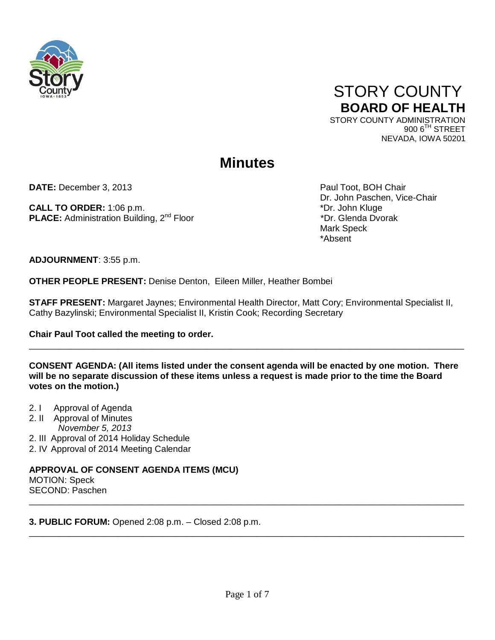

# STORY COUNTY **BOARD OF HEALTH** STORY COUNTY ADMINISTRATION

900 6<sup>TH</sup> STREET NEVADA, IOWA 50201

# **Minutes**

**DATE:** December 3, 2013 **Paul Toot, BOH Chair** Paul Toot, BOH Chair

**CALL TO ORDER:** 1:06 p.m. **\*Dr. John Kluge** \*Dr. John Kluge **PLACE:** Administration Building, 2<sup>nd</sup> Floor \*Dr. Glenda Dvorak \*Dr. Glenda Dvorak

Dr. John Paschen, Vice-Chair Mark Speck (1996) and the control of the Mark Speck (1996) and the Mark Speck (1997) and the Mark Speck (1997) \*Absent

**ADJOURNMENT**: 3:55 p.m.

**OTHER PEOPLE PRESENT:** Denise Denton, Eileen Miller, Heather Bombei

**STAFF PRESENT:** Margaret Jaynes; Environmental Health Director, Matt Cory; Environmental Specialist II, Cathy Bazylinski; Environmental Specialist II, Kristin Cook; Recording Secretary

**Chair Paul Toot called the meeting to order.** 

**CONSENT AGENDA: (All items listed under the consent agenda will be enacted by one motion. There will be no separate discussion of these items unless a request is made prior to the time the Board votes on the motion.)**

\_\_\_\_\_\_\_\_\_\_\_\_\_\_\_\_\_\_\_\_\_\_\_\_\_\_\_\_\_\_\_\_\_\_\_\_\_\_\_\_\_\_\_\_\_\_\_\_\_\_\_\_\_\_\_\_\_\_\_\_\_\_\_\_\_\_\_\_\_\_\_\_\_\_\_\_\_\_\_\_\_\_\_\_\_\_\_\_

- 2. I Approval of Agenda
- 2. II Approval of Minutes
	- *November 5, 2013*
- 2. III Approval of 2014 Holiday Schedule
- 2. IV Approval of 2014 Meeting Calendar

**APPROVAL OF CONSENT AGENDA ITEMS (MCU)**  MOTION: Speck SECOND: Paschen \_\_\_\_\_\_\_\_\_\_\_\_\_\_\_\_\_\_\_\_\_\_\_\_\_\_\_\_\_\_\_\_\_\_\_\_\_\_\_\_\_\_\_\_\_\_\_\_\_\_\_\_\_\_\_\_\_\_\_\_\_\_\_\_\_\_\_\_\_\_\_\_\_\_\_\_\_\_\_\_\_\_\_\_\_\_\_\_

**3. PUBLIC FORUM:** Opened 2:08 p.m. – Closed 2:08 p.m.

\_\_\_\_\_\_\_\_\_\_\_\_\_\_\_\_\_\_\_\_\_\_\_\_\_\_\_\_\_\_\_\_\_\_\_\_\_\_\_\_\_\_\_\_\_\_\_\_\_\_\_\_\_\_\_\_\_\_\_\_\_\_\_\_\_\_\_\_\_\_\_\_\_\_\_\_\_\_\_\_\_\_\_\_\_\_\_\_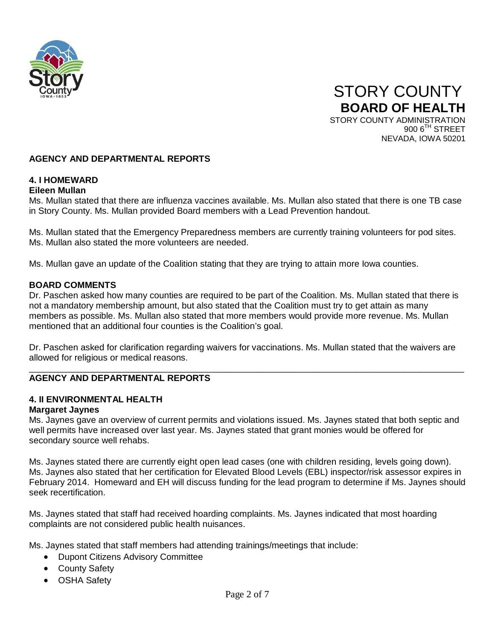



# **AGENCY AND DEPARTMENTAL REPORTS**

# **4. I HOMEWARD**

## **Eileen Mullan**

Ms. Mullan stated that there are influenza vaccines available. Ms. Mullan also stated that there is one TB case in Story County. Ms. Mullan provided Board members with a Lead Prevention handout.

Ms. Mullan stated that the Emergency Preparedness members are currently training volunteers for pod sites. Ms. Mullan also stated the more volunteers are needed.

Ms. Mullan gave an update of the Coalition stating that they are trying to attain more Iowa counties.

## **BOARD COMMENTS**

Dr. Paschen asked how many counties are required to be part of the Coalition. Ms. Mullan stated that there is not a mandatory membership amount, but also stated that the Coalition must try to get attain as many members as possible. Ms. Mullan also stated that more members would provide more revenue. Ms. Mullan mentioned that an additional four counties is the Coalition's goal.

Dr. Paschen asked for clarification regarding waivers for vaccinations. Ms. Mullan stated that the waivers are allowed for religious or medical reasons.

#### \_\_\_\_\_\_\_\_\_\_\_\_\_\_\_\_\_\_\_\_\_\_\_\_\_\_\_\_\_\_\_\_\_\_\_\_\_\_\_\_\_\_\_\_\_\_\_\_\_\_\_\_\_\_\_\_\_\_\_\_\_\_\_\_\_\_\_\_\_\_\_\_\_\_\_\_\_\_\_\_\_\_\_\_\_\_\_\_ **AGENCY AND DEPARTMENTAL REPORTS**

# **4. II ENVIRONMENTAL HEALTH**

#### **Margaret Jaynes**

Ms. Jaynes gave an overview of current permits and violations issued. Ms. Jaynes stated that both septic and well permits have increased over last year. Ms. Jaynes stated that grant monies would be offered for secondary source well rehabs.

Ms. Jaynes stated there are currently eight open lead cases (one with children residing, levels going down). Ms. Jaynes also stated that her certification for Elevated Blood Levels (EBL) inspector/risk assessor expires in February 2014. Homeward and EH will discuss funding for the lead program to determine if Ms. Jaynes should seek recertification.

Ms. Jaynes stated that staff had received hoarding complaints. Ms. Jaynes indicated that most hoarding complaints are not considered public health nuisances.

Ms. Jaynes stated that staff members had attending trainings/meetings that include:

- Dupont Citizens Advisory Committee
- County Safety
- OSHA Safety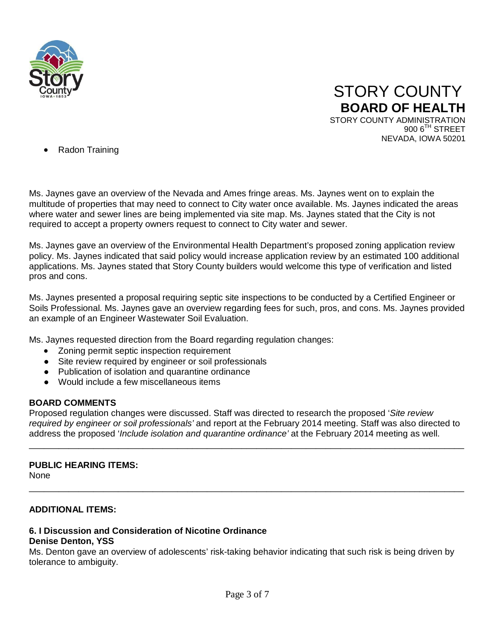



• Radon Training

Ms. Jaynes gave an overview of the Nevada and Ames fringe areas. Ms. Jaynes went on to explain the multitude of properties that may need to connect to City water once available. Ms. Jaynes indicated the areas where water and sewer lines are being implemented via site map. Ms. Jaynes stated that the City is not required to accept a property owners request to connect to City water and sewer.

Ms. Jaynes gave an overview of the Environmental Health Department's proposed zoning application review policy. Ms. Jaynes indicated that said policy would increase application review by an estimated 100 additional applications. Ms. Jaynes stated that Story County builders would welcome this type of verification and listed pros and cons.

Ms. Jaynes presented a proposal requiring septic site inspections to be conducted by a Certified Engineer or Soils Professional. Ms. Jaynes gave an overview regarding fees for such, pros, and cons. Ms. Jaynes provided an example of an Engineer Wastewater Soil Evaluation.

Ms. Jaynes requested direction from the Board regarding regulation changes:

- Zoning permit septic inspection requirement
- Site review required by engineer or soil professionals
- Publication of isolation and quarantine ordinance
- Would include a few miscellaneous items

# **BOARD COMMENTS**

Proposed regulation changes were discussed. Staff was directed to research the proposed '*Site review required by engineer or soil professionals'* and report at the February 2014 meeting. Staff was also directed to address the proposed '*Include isolation and quarantine ordinance'* at the February 2014 meeting as well.

\_\_\_\_\_\_\_\_\_\_\_\_\_\_\_\_\_\_\_\_\_\_\_\_\_\_\_\_\_\_\_\_\_\_\_\_\_\_\_\_\_\_\_\_\_\_\_\_\_\_\_\_\_\_\_\_\_\_\_\_\_\_\_\_\_\_\_\_\_\_\_\_\_\_\_\_\_\_\_\_\_\_\_\_\_\_\_\_

\_\_\_\_\_\_\_\_\_\_\_\_\_\_\_\_\_\_\_\_\_\_\_\_\_\_\_\_\_\_\_\_\_\_\_\_\_\_\_\_\_\_\_\_\_\_\_\_\_\_\_\_\_\_\_\_\_\_\_\_\_\_\_\_\_\_\_\_\_\_\_\_\_\_\_\_\_\_\_\_\_\_\_\_\_\_\_\_

#### **PUBLIC HEARING ITEMS:**

None

#### **ADDITIONAL ITEMS:**

#### **6. I Discussion and Consideration of Nicotine Ordinance Denise Denton, YSS**

Ms. Denton gave an overview of adolescents' risk-taking behavior indicating that such risk is being driven by tolerance to ambiguity.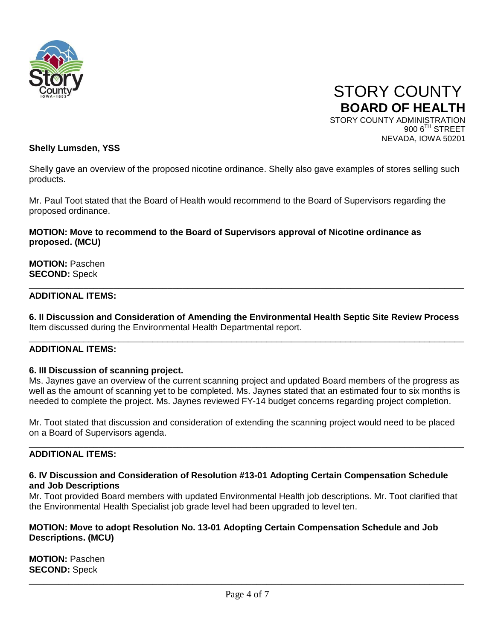

 STORY COUNTY **BOARD OF HEALTH** STORY COUNTY ADMINISTRATION  $9006$ <sup>TH</sup> STREET

NEVADA, IOWA 50201

## **Shelly Lumsden, YSS**

Shelly gave an overview of the proposed nicotine ordinance. Shelly also gave examples of stores selling such products.

Mr. Paul Toot stated that the Board of Health would recommend to the Board of Supervisors regarding the proposed ordinance.

## **MOTION: Move to recommend to the Board of Supervisors approval of Nicotine ordinance as proposed. (MCU)**

**MOTION:** Paschen **SECOND:** Speck

#### **ADDITIONAL ITEMS:**

**6. II Discussion and Consideration of Amending the Environmental Health Septic Site Review Process** Item discussed during the Environmental Health Departmental report.

\_\_\_\_\_\_\_\_\_\_\_\_\_\_\_\_\_\_\_\_\_\_\_\_\_\_\_\_\_\_\_\_\_\_\_\_\_\_\_\_\_\_\_\_\_\_\_\_\_\_\_\_\_\_\_\_\_\_\_\_\_\_\_\_\_\_\_\_\_\_\_\_\_\_\_\_\_\_\_\_\_\_\_\_\_\_\_\_

\_\_\_\_\_\_\_\_\_\_\_\_\_\_\_\_\_\_\_\_\_\_\_\_\_\_\_\_\_\_\_\_\_\_\_\_\_\_\_\_\_\_\_\_\_\_\_\_\_\_\_\_\_\_\_\_\_\_\_\_\_\_\_\_\_\_\_\_\_\_\_\_\_\_\_\_\_\_\_\_\_\_\_\_\_\_\_\_

#### **ADDITIONAL ITEMS:**

#### **6. III Discussion of scanning project.**

Ms. Jaynes gave an overview of the current scanning project and updated Board members of the progress as well as the amount of scanning yet to be completed. Ms. Jaynes stated that an estimated four to six months is needed to complete the project. Ms. Jaynes reviewed FY-14 budget concerns regarding project completion.

Mr. Toot stated that discussion and consideration of extending the scanning project would need to be placed on a Board of Supervisors agenda.

\_\_\_\_\_\_\_\_\_\_\_\_\_\_\_\_\_\_\_\_\_\_\_\_\_\_\_\_\_\_\_\_\_\_\_\_\_\_\_\_\_\_\_\_\_\_\_\_\_\_\_\_\_\_\_\_\_\_\_\_\_\_\_\_\_\_\_\_\_\_\_\_\_\_\_\_\_\_\_\_\_\_\_\_\_\_\_\_

#### **ADDITIONAL ITEMS:**

#### **6. IV Discussion and Consideration of Resolution #13-01 Adopting Certain Compensation Schedule and Job Descriptions**

Mr. Toot provided Board members with updated Environmental Health job descriptions. Mr. Toot clarified that the Environmental Health Specialist job grade level had been upgraded to level ten.

#### **MOTION: Move to adopt Resolution No. 13-01 Adopting Certain Compensation Schedule and Job Descriptions. (MCU)**

**MOTION:** Paschen **SECOND:** Speck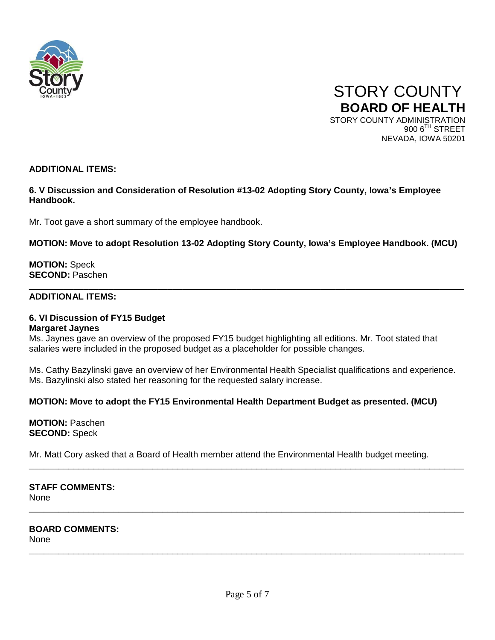



# **ADDITIONAL ITEMS:**

# **6. V Discussion and Consideration of Resolution #13-02 Adopting Story County, Iowa's Employee Handbook.**

Mr. Toot gave a short summary of the employee handbook.

# **MOTION: Move to adopt Resolution 13-02 Adopting Story County, Iowa's Employee Handbook. (MCU)**

\_\_\_\_\_\_\_\_\_\_\_\_\_\_\_\_\_\_\_\_\_\_\_\_\_\_\_\_\_\_\_\_\_\_\_\_\_\_\_\_\_\_\_\_\_\_\_\_\_\_\_\_\_\_\_\_\_\_\_\_\_\_\_\_\_\_\_\_\_\_\_\_\_\_\_\_\_\_\_\_\_\_\_\_\_\_\_\_

**MOTION:** Speck **SECOND:** Paschen

#### **ADDITIONAL ITEMS:**

#### **6. VI Discussion of FY15 Budget Margaret Jaynes**

Ms. Jaynes gave an overview of the proposed FY15 budget highlighting all editions. Mr. Toot stated that salaries were included in the proposed budget as a placeholder for possible changes.

Ms. Cathy Bazylinski gave an overview of her Environmental Health Specialist qualifications and experience. Ms. Bazylinski also stated her reasoning for the requested salary increase.

# **MOTION: Move to adopt the FY15 Environmental Health Department Budget as presented. (MCU)**

**MOTION:** Paschen **SECOND:** Speck

Mr. Matt Cory asked that a Board of Health member attend the Environmental Health budget meeting.

\_\_\_\_\_\_\_\_\_\_\_\_\_\_\_\_\_\_\_\_\_\_\_\_\_\_\_\_\_\_\_\_\_\_\_\_\_\_\_\_\_\_\_\_\_\_\_\_\_\_\_\_\_\_\_\_\_\_\_\_\_\_\_\_\_\_\_\_\_\_\_\_\_\_\_\_\_\_\_\_\_\_\_\_\_\_\_\_

\_\_\_\_\_\_\_\_\_\_\_\_\_\_\_\_\_\_\_\_\_\_\_\_\_\_\_\_\_\_\_\_\_\_\_\_\_\_\_\_\_\_\_\_\_\_\_\_\_\_\_\_\_\_\_\_\_\_\_\_\_\_\_\_\_\_\_\_\_\_\_\_\_\_\_\_\_\_\_\_\_\_\_\_\_\_\_\_

\_\_\_\_\_\_\_\_\_\_\_\_\_\_\_\_\_\_\_\_\_\_\_\_\_\_\_\_\_\_\_\_\_\_\_\_\_\_\_\_\_\_\_\_\_\_\_\_\_\_\_\_\_\_\_\_\_\_\_\_\_\_\_\_\_\_\_\_\_\_\_\_\_\_\_\_\_\_\_\_\_\_\_\_\_\_\_\_

**STAFF COMMENTS: None** 

**BOARD COMMENTS:** None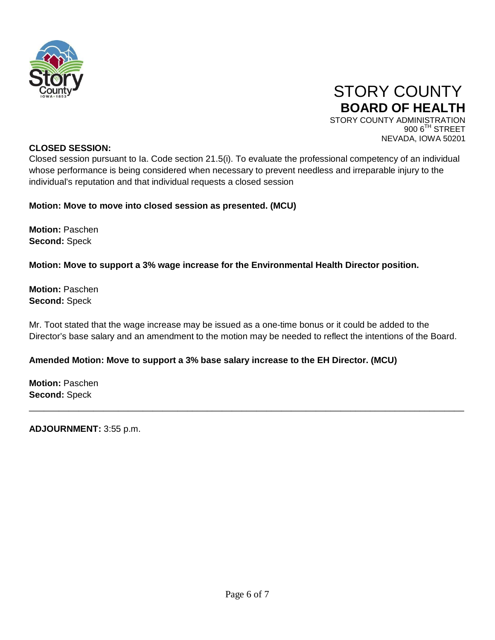



NEVADA, IOWA 50201

# **CLOSED SESSION:**

Closed session pursuant to Ia. Code section 21.5(i). To evaluate the professional competency of an individual whose performance is being considered when necessary to prevent needless and irreparable injury to the individual's reputation and that individual requests a closed session

# **Motion: Move to move into closed session as presented. (MCU)**

**Motion:** Paschen **Second:** Speck

**Motion: Move to support a 3% wage increase for the Environmental Health Director position.** 

**Motion:** Paschen **Second:** Speck

Mr. Toot stated that the wage increase may be issued as a one-time bonus or it could be added to the Director's base salary and an amendment to the motion may be needed to reflect the intentions of the Board.

\_\_\_\_\_\_\_\_\_\_\_\_\_\_\_\_\_\_\_\_\_\_\_\_\_\_\_\_\_\_\_\_\_\_\_\_\_\_\_\_\_\_\_\_\_\_\_\_\_\_\_\_\_\_\_\_\_\_\_\_\_\_\_\_\_\_\_\_\_\_\_\_\_\_\_\_\_\_\_\_\_\_\_\_\_\_\_\_

# **Amended Motion: Move to support a 3% base salary increase to the EH Director. (MCU)**

**Motion:** Paschen **Second:** Speck

**ADJOURNMENT:** 3:55 p.m.